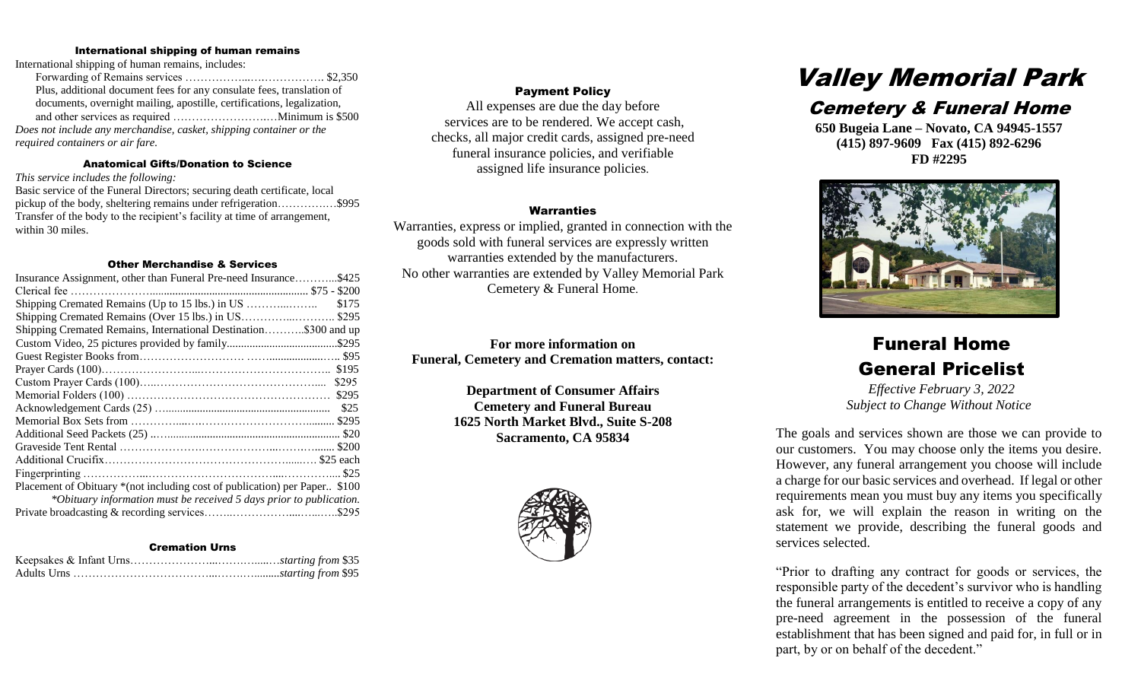#### International shipping of human remains

International shipping of human remains, includes:

Forwarding of Remains services ……………...….……………. \$2,350 Plus, additional document fees for any consulate fees, translation of documents, overnight mailing, apostille, certifications, legalization, and other services as required …………………….…Minimum is \$500 *Does not include any merchandise, casket, shipping container or the required containers or air fare.* 

#### Anatomical Gifts/Donation to Science

*This service includes the following:*

Basic service of the Funeral Directors; securing death certificate, local pickup of the body, sheltering remains under refrigeration………….…\$995 Transfer of the body to the recipient's facility at time of arrangement, within 30 miles.

#### Other Merchandise & Services

| Insurance Assignment, other than Funeral Pre-need Insurance\$425            |
|-----------------------------------------------------------------------------|
|                                                                             |
| \$175                                                                       |
| Shipping Cremated Remains (Over 15 lbs.) in US\$295                         |
| Shipping Cremated Remains, International Destination\$300 and up            |
|                                                                             |
|                                                                             |
| \$195                                                                       |
| \$295                                                                       |
| \$295                                                                       |
| \$25                                                                        |
|                                                                             |
|                                                                             |
|                                                                             |
|                                                                             |
|                                                                             |
| Placement of Obituary * (not including cost of publication) per Paper \$100 |
| *Obituary information must be received 5 days prior to publication.         |
|                                                                             |

#### Cremation Urns

#### Payment Policy

All expenses are due the day before services are to be rendered. We accept cash, checks, all major credit cards, assigned pre-need funeral insurance policies, and verifiable assigned life insurance policies.

#### **Warranties**

Warranties, express or implied, granted in connection with the goods sold with funeral services are expressly written warranties extended by the manufacturers. No other warranties are extended by Valley Memorial Park Cemetery & Funeral Home.

**For more information on Funeral, Cemetery and Cremation matters, contact:**

> **Department of Consumer Affairs Cemetery and Funeral Bureau 1625 North Market Blvd., Suite S-208 Sacramento, CA 95834**



# Valley Memorial Park

### Cemetery & Funeral Home

**650 Bugeia Lane – Novato, CA 94945-1557 (415) 897-9609 Fax (415) 892-6296 FD #2295**



## Funeral Home General Pricelist

*Effective February 3, 2022 Subject to Change Without Notice*

The goals and services shown are those we can provide to our customers. You may choose only the items you desire. However, any funeral arrangement you choose will include a charge for our basic services and overhead. If legal or other requirements mean you must buy any items you specifically ask for, we will explain the reason in writing on the statement we provide, describing the funeral goods and services selected.

"Prior to drafting any contract for goods or services, the responsible party of the decedent's survivor who is handling the funeral arrangements is entitled to receive a copy of any pre-need agreement in the possession of the funeral establishment that has been signed and paid for, in full or in part, by or on behalf of the decedent."